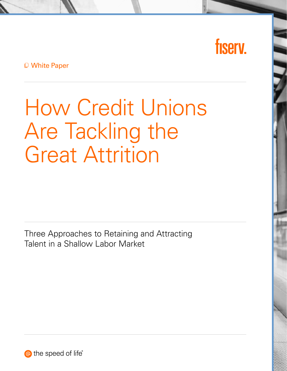# fisery.

White Paper

How Credit Unions Are Tackling the Great Attrition

Three Approaches to Retaining and Attracting Talent in a Shallow Labor Market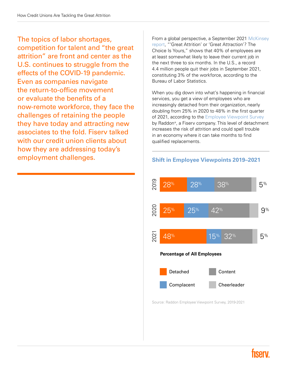The topics of labor shortages, competition for talent and "the great attrition" are front and center as the U.S. continues to struggle from the effects of the COVID-19 pandemic. Even as companies navigate the return-to-office movement or evaluate the benefits of a now-remote workforce, they face the challenges of retaining the people they have today and attracting new associates to the fold. Fiserv talked with our credit union clients about how they are addressing today's employment challenges.

From a global perspective, a September 2021 [McKinsey](https://www.mckinsey.com/business-functions/people-and-organizational-performance/our-insights/great-attrition-or-great-attraction-the-choice-is-yours)  [report,](https://www.mckinsey.com/business-functions/people-and-organizational-performance/our-insights/great-attrition-or-great-attraction-the-choice-is-yours) "'Great Attrition' or 'Great Attraction'? The Choice Is Yours," shows that 40% of employees are at least somewhat likely to leave their current job in the next three to six months. In the U.S., a record 4.4 million people quit their jobs in September 2021, constituting 3% of the workforce, according to the Bureau of Labor Statistics.

When you dig down into what's happening in financial services, you get a view of employees who are increasingly detached from their organization, nearly doubling from 25% in 2020 to 48% in the first quarter of 2021, according to the Employee Viewpoint Survey by Raddon®, a Fiserv company. This level of detachment increases the risk of attrition and could spell trouble in an economy where it can take months to find qualified replacements.



#### Shift in Employee Viewpoints 2019–2021

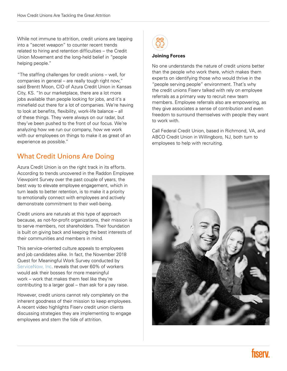While not immune to attrition, credit unions are tapping into a "secret weapon" to counter recent trends related to hiring and retention difficulties – the Credit Union Movement and the long-held belief in "people helping people."

"The staffing challenges for credit unions – well, for companies in general – are really tough right now," said Brentt Moon, CIO of Azura Credit Union in Kansas City, KS. "In our marketplace, there are a lot more jobs available than people looking for jobs, and it's a minefield out there for a lot of companies. We're having to look at benefits, flexibility, work-life balance – all of these things. They were always on our radar, but they've been pushed to the front of our focus. We're analyzing how we run our company, how we work with our employees on things to make it as great of an experience as possible."

## What Credit Unions Are Doing

Azura Credit Union is on the right track in its efforts. According to trends uncovered in the Raddon Employee Viewpoint Survey over the past couple of years, the best way to elevate employee engagement, which in turn leads to better retention, is to make it a priority to emotionally connect with employees and actively demonstrate commitment to their well-being.

Credit unions are naturals at this type of approach because, as not-for-profit organizations, their mission is to serve members, not shareholders. Their foundation is built on giving back and keeping the best interests of their communities and members in mind.

This service-oriented culture appeals to employees and job candidates alike. In fact, the November 2018 Quest for Meaningful Work Survey conducted by [ServiceNow, Inc](https://www.servicenow.com/company/media/press-room/servicenow-psst-boss-heres-what-your-employees-want-most-this-holiday-meaningful-work.html#:~:text=In%20a%20recent%20survey%20conducted,34%20percent).). reveals that over 60% of workers would ask their bosses for more meaningful work – work that makes them feel like they're contributing to a larger goal – than ask for a pay raise.

However, credit unions cannot rely completely on the inherent goodness of their mission to keep employees. A recent video highlights Fiserv credit union clients discussing strategies they are implementing to engage employees and stem the tide of attrition.



#### Joining Forces

No one understands the nature of credit unions better than the people who work there, which makes them experts on identifying those who would thrive in the "people serving people" environment. That's why the credit unions Fiserv talked with rely on employee referrals as a primary way to recruit new team members. Employee referrals also are empowering, as they give associates a sense of contribution and even freedom to surround themselves with people they want to work with.

Call Federal Credit Union, based in Richmond, VA, and ABCO Credit Union in Willingboro, NJ, both turn to employees to help with recruiting.

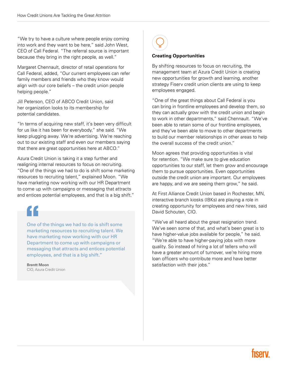"We try to have a culture where people enjoy coming into work and they want to be here," said John West, CEO of Call Federal. "The referral source is important because they bring in the right people, as well."

Margaret Chennault, director of retail operations for Call Federal, added, "Our current employees can refer family members and friends who they know would align with our core beliefs – the credit union people helping people."

Jill Peterson, CEO of ABCO Credit Union, said her organization looks to its membership for potential candidates.

"In terms of acquiring new staff, it's been very difficult for us like it has been for everybody," she said. "We keep plugging away. We're advertising. We're reaching out to our existing staff and even our members saying that there are great opportunities here at ABCO."

Azura Credit Union is taking it a step further and realigning internal resources to focus on recruiting. "One of the things we had to do is shift some marketing resources to recruiting talent," explained Moon. "We have marketing now working with our HR Department to come up with campaigns or messaging that attracts and entices potential employees, and that is a big shift."

One of the things we had to do is shift some marketing resources to recruiting talent. We have marketing now working with our HR Department to come up with campaigns or messaging that attracts and entices potential employees, and that is a big shift."

Brentt Moon CIO, Azura Credit Union



#### Creating Opportunities

By shifting resources to focus on recruiting, the management team at Azura Credit Union is creating new opportunities for growth and learning, another strategy Fiserv credit union clients are using to keep employees engaged.

"One of the great things about Call Federal is you can bring in frontline employees and develop them, so they can actually grow with the credit union and begin to work in other departments," said Chennault. "We've been able to retain some of our frontline employees, and they've been able to move to other departments to build our member relationships in other areas to help the overall success of the credit union."

Moon agrees that providing opportunities is vital for retention. "We make sure to give education opportunities to our staff, let them grow and encourage them to pursue opportunities. Even opportunities outside the credit union are important. Our employees are happy, and we are seeing them grow," he said.

At First Alliance Credit Union based in Rochester, MN, interactive branch kiosks (IBKs) are playing a role in creating opportunity for employees and new hires, said David Schouten, CIO.

"We've all heard about the great resignation trend. We've seen some of that, and what's been great is to have higher-value jobs available for people," he said. "We're able to have higher-paying jobs with more quality. So instead of hiring a lot of tellers who will have a greater amount of turnover, we're hiring more loan officers who contribute more and have better satisfaction with their jobs."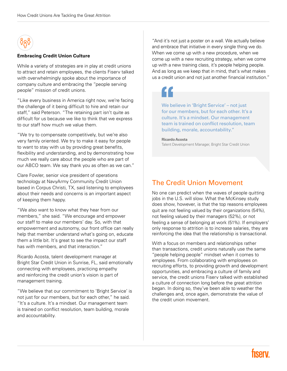

#### Embracing Credit Union Culture

While a variety of strategies are in play at credit unions to attract and retain employees, the clients Fiserv talked with overwhelmingly spoke about the importance of company culture and embracing the "people serving people" mission of credit unions.

"Like every business in America right now, we're facing the challenge of it being difficult to hire and retain our staff," said Peterson. "The retaining part isn't quite as difficult for us because we like to think that we express to our staff how much we value them.

"We try to compensate competitively, but we're also very family oriented. We try to make it easy for people to want to stay with us by providing great benefits, flexibility and understanding, and by demonstrating how much we really care about the people who are part of our ABCO team. We say thank you as often as we can."

Clare Fowler, senior vice president of operations technology at NavyArmy Community Credit Union based in Corpus Christi, TX, said listening to employees about their needs and concerns is an important aspect of keeping them happy.

"We also want to know what they hear from our members," she said. "We encourage and empower our staff to make our members' day. So, with that empowerment and autonomy, our front office can really help that member understand what's going on, educate them a little bit. It's great to see the impact our staff has with members, and that interaction."

Ricardo Acosta, talent development manager at Bright Star Credit Union in Sunrise, FL, said emotionally connecting with employees, practicing empathy and reinforcing the credit union's vision is part of management training.

"We believe that our commitment to 'Bright Service' is not just for our members, but for each other," he said. "It's a culture. It's a mindset. Our management team is trained on conflict resolution, team building, morale and accountability.

"And it's not just a poster on a wall. We actually believe and embrace that initiative in every single thing we do. When we come up with a new procedure, when we come up with a new recruiting strategy, when we come up with a new training class, it's people helping people. And as long as we keep that in mind, that's what makes us a credit union and not just another financial institution."



We believe in 'Bright Service' – not just for our members, but for each other. It's a culture. It's a mindset. Our management team is trained on conflict resolution, team building, morale, accountability."

#### Ricardo Acosta Talent Development Manager, Bright Star Credit Union

### The Credit Union Movement

No one can predict when the waves of people quitting jobs in the U.S. will slow. What the McKinsey study does show, however, is that the top reasons employees quit are not feeling valued by their organizations (54%), not feeling valued by their managers (52%), or not feeling a sense of belonging at work (51%). If employers' only response to attrition is to increase salaries, they are reinforcing the idea that the relationship is transactional.

With a focus on members and relationships rather than transactions, credit unions naturally use the same "people helping people" mindset when it comes to employees. From collaborating with employees on recruiting efforts, to providing growth and development opportunities, and embracing a culture of family and service, the credit unions Fiserv talked with established a culture of connection long before the great attrition began. In doing so, they've been able to weather the challenges and, once again, demonstrate the value of the credit union movement.